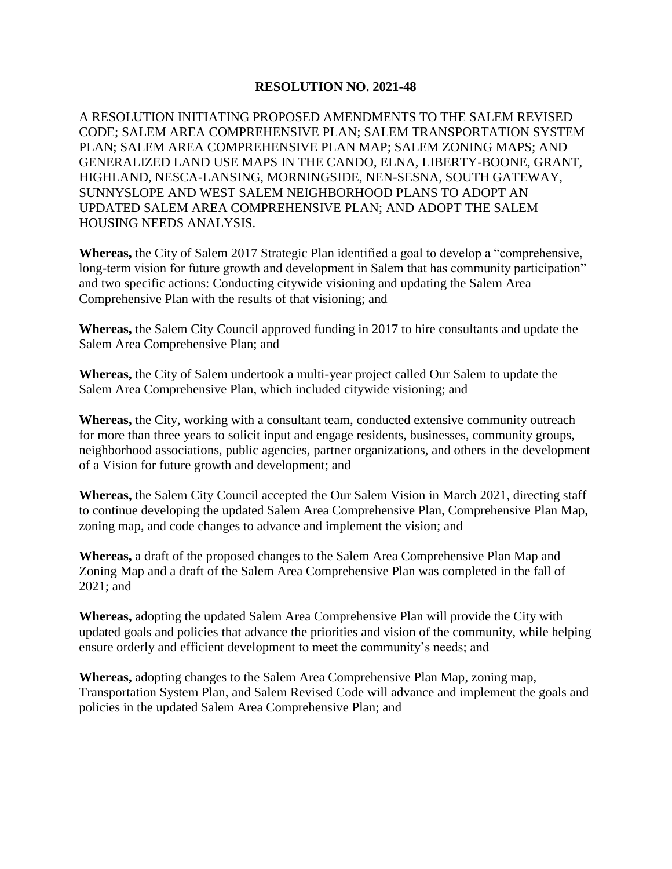## **RESOLUTION NO. 2021-48**

A RESOLUTION INITIATING PROPOSED AMENDMENTS TO THE SALEM REVISED CODE; SALEM AREA COMPREHENSIVE PLAN; SALEM TRANSPORTATION SYSTEM PLAN; SALEM AREA COMPREHENSIVE PLAN MAP; SALEM ZONING MAPS; AND GENERALIZED LAND USE MAPS IN THE CANDO, ELNA, LIBERTY-BOONE, GRANT, HIGHLAND, NESCA-LANSING, MORNINGSIDE, NEN-SESNA, SOUTH GATEWAY, SUNNYSLOPE AND WEST SALEM NEIGHBORHOOD PLANS TO ADOPT AN UPDATED SALEM AREA COMPREHENSIVE PLAN; AND ADOPT THE SALEM HOUSING NEEDS ANALYSIS.

**Whereas,** the City of Salem 2017 Strategic Plan identified a goal to develop a "comprehensive, long-term vision for future growth and development in Salem that has community participation" and two specific actions: Conducting citywide visioning and updating the Salem Area Comprehensive Plan with the results of that visioning; and

**Whereas,** the Salem City Council approved funding in 2017 to hire consultants and update the Salem Area Comprehensive Plan; and

**Whereas,** the City of Salem undertook a multi-year project called Our Salem to update the Salem Area Comprehensive Plan, which included citywide visioning; and

**Whereas,** the City, working with a consultant team, conducted extensive community outreach for more than three years to solicit input and engage residents, businesses, community groups, neighborhood associations, public agencies, partner organizations, and others in the development of a Vision for future growth and development; and

**Whereas,** the Salem City Council accepted the Our Salem Vision in March 2021, directing staff to continue developing the updated Salem Area Comprehensive Plan, Comprehensive Plan Map, zoning map, and code changes to advance and implement the vision; and

**Whereas,** a draft of the proposed changes to the Salem Area Comprehensive Plan Map and Zoning Map and a draft of the Salem Area Comprehensive Plan was completed in the fall of 2021; and

**Whereas,** adopting the updated Salem Area Comprehensive Plan will provide the City with updated goals and policies that advance the priorities and vision of the community, while helping ensure orderly and efficient development to meet the community's needs; and

**Whereas,** adopting changes to the Salem Area Comprehensive Plan Map, zoning map, Transportation System Plan, and Salem Revised Code will advance and implement the goals and policies in the updated Salem Area Comprehensive Plan; and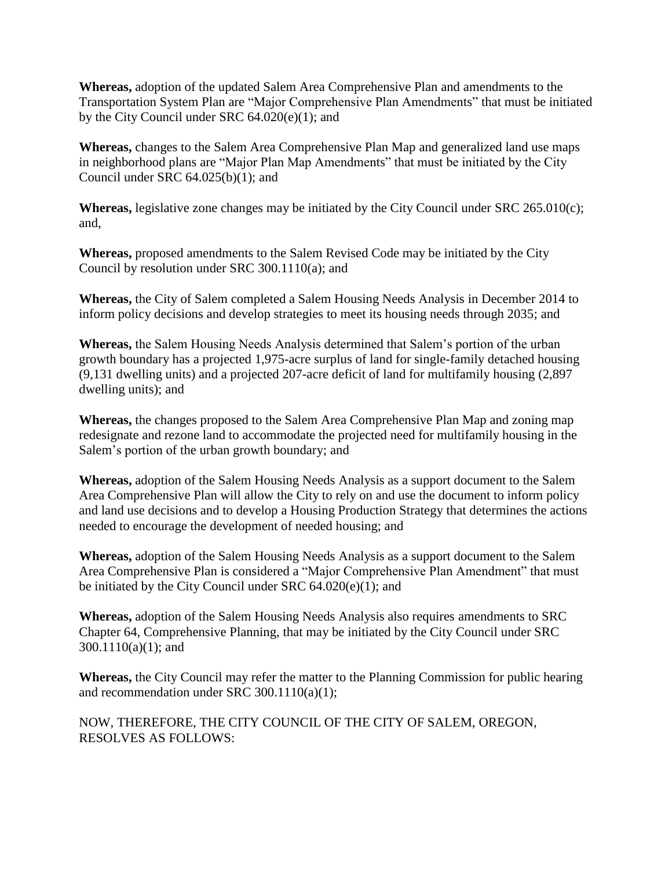**Whereas,** adoption of the updated Salem Area Comprehensive Plan and amendments to the Transportation System Plan are "Major Comprehensive Plan Amendments" that must be initiated by the City Council under SRC 64.020(e)(1); and

**Whereas,** changes to the Salem Area Comprehensive Plan Map and generalized land use maps in neighborhood plans are "Major Plan Map Amendments" that must be initiated by the City Council under SRC 64.025(b)(1); and

**Whereas,** legislative zone changes may be initiated by the City Council under SRC 265.010(c); and,

**Whereas,** proposed amendments to the Salem Revised Code may be initiated by the City Council by resolution under SRC 300.1110(a); and

**Whereas,** the City of Salem completed a Salem Housing Needs Analysis in December 2014 to inform policy decisions and develop strategies to meet its housing needs through 2035; and

**Whereas,** the Salem Housing Needs Analysis determined that Salem's portion of the urban growth boundary has a projected 1,975-acre surplus of land for single-family detached housing (9,131 dwelling units) and a projected 207-acre deficit of land for multifamily housing (2,897 dwelling units); and

**Whereas,** the changes proposed to the Salem Area Comprehensive Plan Map and zoning map redesignate and rezone land to accommodate the projected need for multifamily housing in the Salem's portion of the urban growth boundary; and

**Whereas,** adoption of the Salem Housing Needs Analysis as a support document to the Salem Area Comprehensive Plan will allow the City to rely on and use the document to inform policy and land use decisions and to develop a Housing Production Strategy that determines the actions needed to encourage the development of needed housing; and

**Whereas,** adoption of the Salem Housing Needs Analysis as a support document to the Salem Area Comprehensive Plan is considered a "Major Comprehensive Plan Amendment" that must be initiated by the City Council under SRC 64.020(e)(1); and

**Whereas,** adoption of the Salem Housing Needs Analysis also requires amendments to SRC Chapter 64, Comprehensive Planning, that may be initiated by the City Council under SRC 300.1110(a)(1); and

**Whereas,** the City Council may refer the matter to the Planning Commission for public hearing and recommendation under SRC 300.1110(a)(1);

NOW, THEREFORE, THE CITY COUNCIL OF THE CITY OF SALEM, OREGON, RESOLVES AS FOLLOWS: